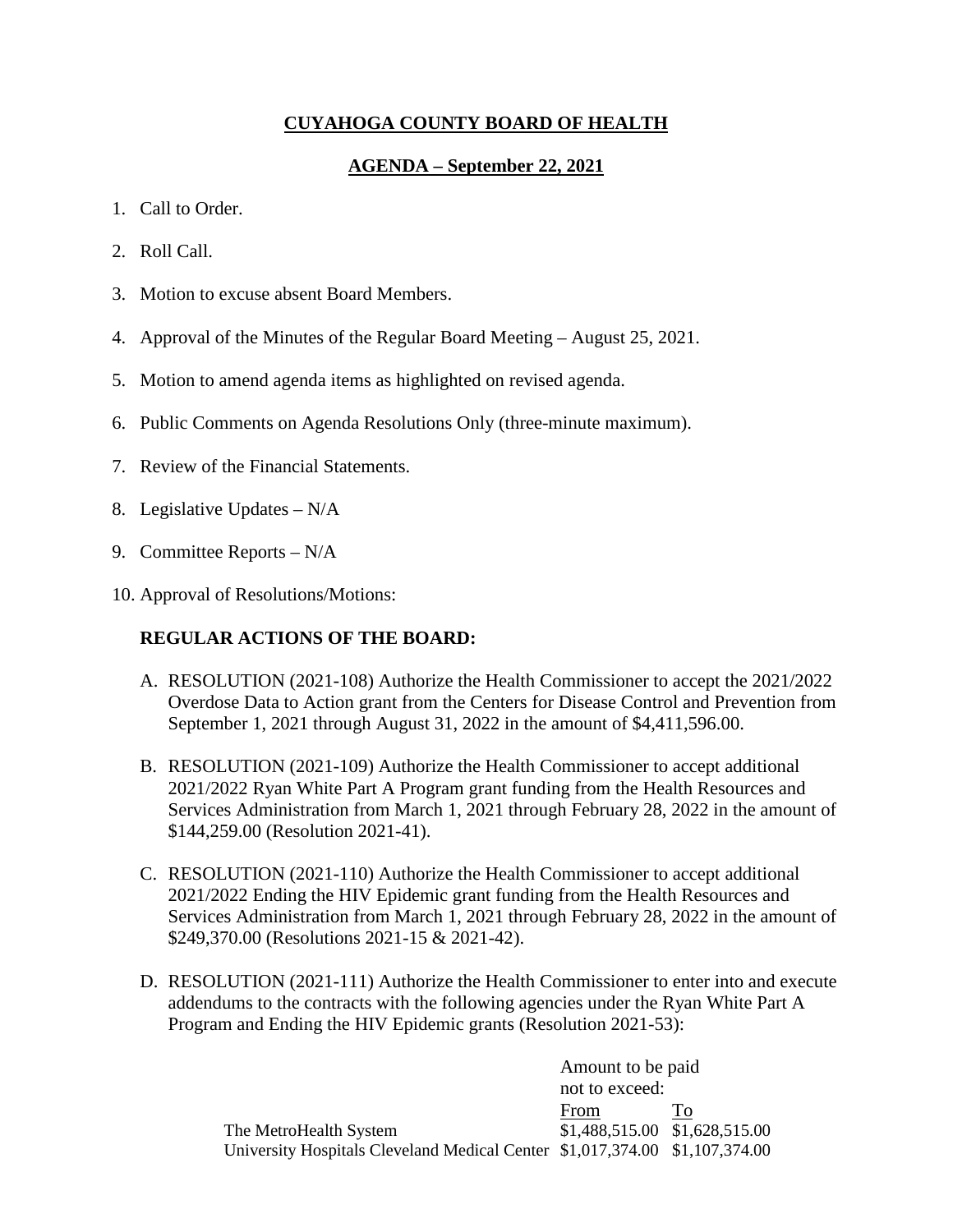## **CUYAHOGA COUNTY BOARD OF HEALTH**

## **AGENDA – September 22, 2021**

- 1. Call to Order.
- 2. Roll Call.
- 3. Motion to excuse absent Board Members.
- 4. Approval of the Minutes of the Regular Board Meeting August 25, 2021.
- 5. Motion to amend agenda items as highlighted on revised agenda.
- 6. Public Comments on Agenda Resolutions Only (three-minute maximum).
- 7. Review of the Financial Statements.
- 8. Legislative Updates N/A
- 9. Committee Reports N/A
- 10. Approval of Resolutions/Motions:

## **REGULAR ACTIONS OF THE BOARD:**

- A. RESOLUTION (2021-108) Authorize the Health Commissioner to accept the 2021/2022 Overdose Data to Action grant from the Centers for Disease Control and Prevention from September 1, 2021 through August 31, 2022 in the amount of \$4,411,596.00.
- B. RESOLUTION (2021-109) Authorize the Health Commissioner to accept additional 2021/2022 Ryan White Part A Program grant funding from the Health Resources and Services Administration from March 1, 2021 through February 28, 2022 in the amount of \$144,259.00 (Resolution 2021-41).
- C. RESOLUTION (2021-110) Authorize the Health Commissioner to accept additional 2021/2022 Ending the HIV Epidemic grant funding from the Health Resources and Services Administration from March 1, 2021 through February 28, 2022 in the amount of \$249,370.00 (Resolutions 2021-15 & 2021-42).
- D. RESOLUTION (2021-111) Authorize the Health Commissioner to enter into and execute addendums to the contracts with the following agencies under the Ryan White Part A Program and Ending the HIV Epidemic grants (Resolution 2021-53):

|                                                                             | Amount to be paid             |    |
|-----------------------------------------------------------------------------|-------------------------------|----|
|                                                                             | not to exceed:                |    |
|                                                                             | From                          | Τò |
| The MetroHealth System                                                      | \$1,488,515.00 \$1,628,515.00 |    |
| University Hospitals Cleveland Medical Center \$1,017,374.00 \$1,107,374.00 |                               |    |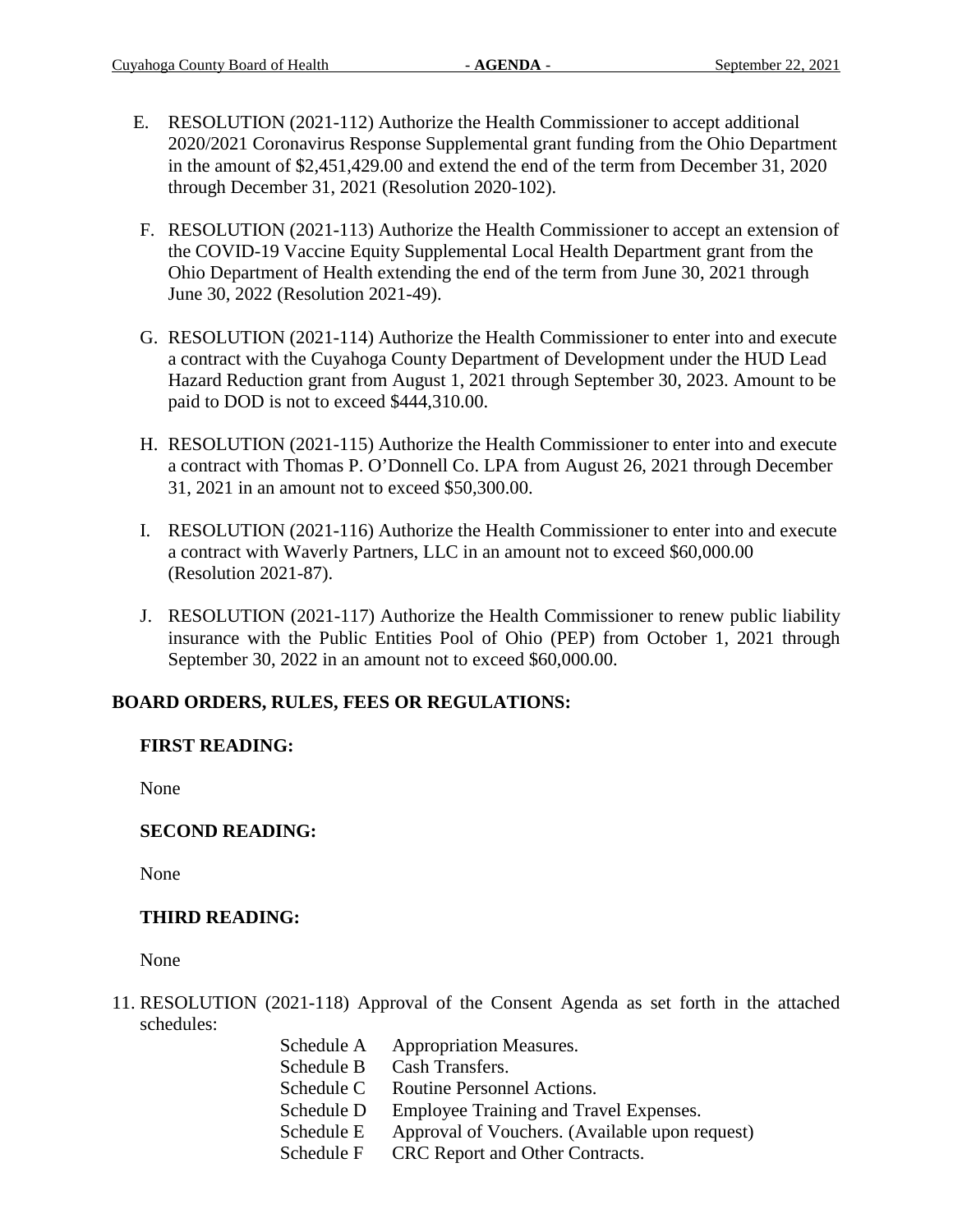- E. RESOLUTION (2021-112) Authorize the Health Commissioner to accept additional 2020/2021 Coronavirus Response Supplemental grant funding from the Ohio Department in the amount of \$2,451,429.00 and extend the end of the term from December 31, 2020 through December 31, 2021 (Resolution 2020-102).
- F. RESOLUTION (2021-113) Authorize the Health Commissioner to accept an extension of the COVID-19 Vaccine Equity Supplemental Local Health Department grant from the Ohio Department of Health extending the end of the term from June 30, 2021 through June 30, 2022 (Resolution 2021-49).
- G. RESOLUTION (2021-114) Authorize the Health Commissioner to enter into and execute a contract with the Cuyahoga County Department of Development under the HUD Lead Hazard Reduction grant from August 1, 2021 through September 30, 2023. Amount to be paid to DOD is not to exceed \$444,310.00.
- H. RESOLUTION (2021-115) Authorize the Health Commissioner to enter into and execute a contract with Thomas P. O'Donnell Co. LPA from August 26, 2021 through December 31, 2021 in an amount not to exceed \$50,300.00.
- I. RESOLUTION (2021-116) Authorize the Health Commissioner to enter into and execute a contract with Waverly Partners, LLC in an amount not to exceed \$60,000.00 (Resolution 2021-87).
- J. RESOLUTION (2021-117) Authorize the Health Commissioner to renew public liability insurance with the Public Entities Pool of Ohio (PEP) from October 1, 2021 through September 30, 2022 in an amount not to exceed \$60,000.00.

# **BOARD ORDERS, RULES, FEES OR REGULATIONS:**

## **FIRST READING:**

None

# **SECOND READING:**

None

## **THIRD READING:**

None

- 11. RESOLUTION (2021-118) Approval of the Consent Agenda as set forth in the attached schedules:
	- Schedule A Appropriation Measures.
	- Schedule B Cash Transfers.
	- Schedule C Routine Personnel Actions.
	- Schedule D Employee Training and Travel Expenses.
	- Schedule E Approval of Vouchers. (Available upon request)
	- Schedule F CRC Report and Other Contracts.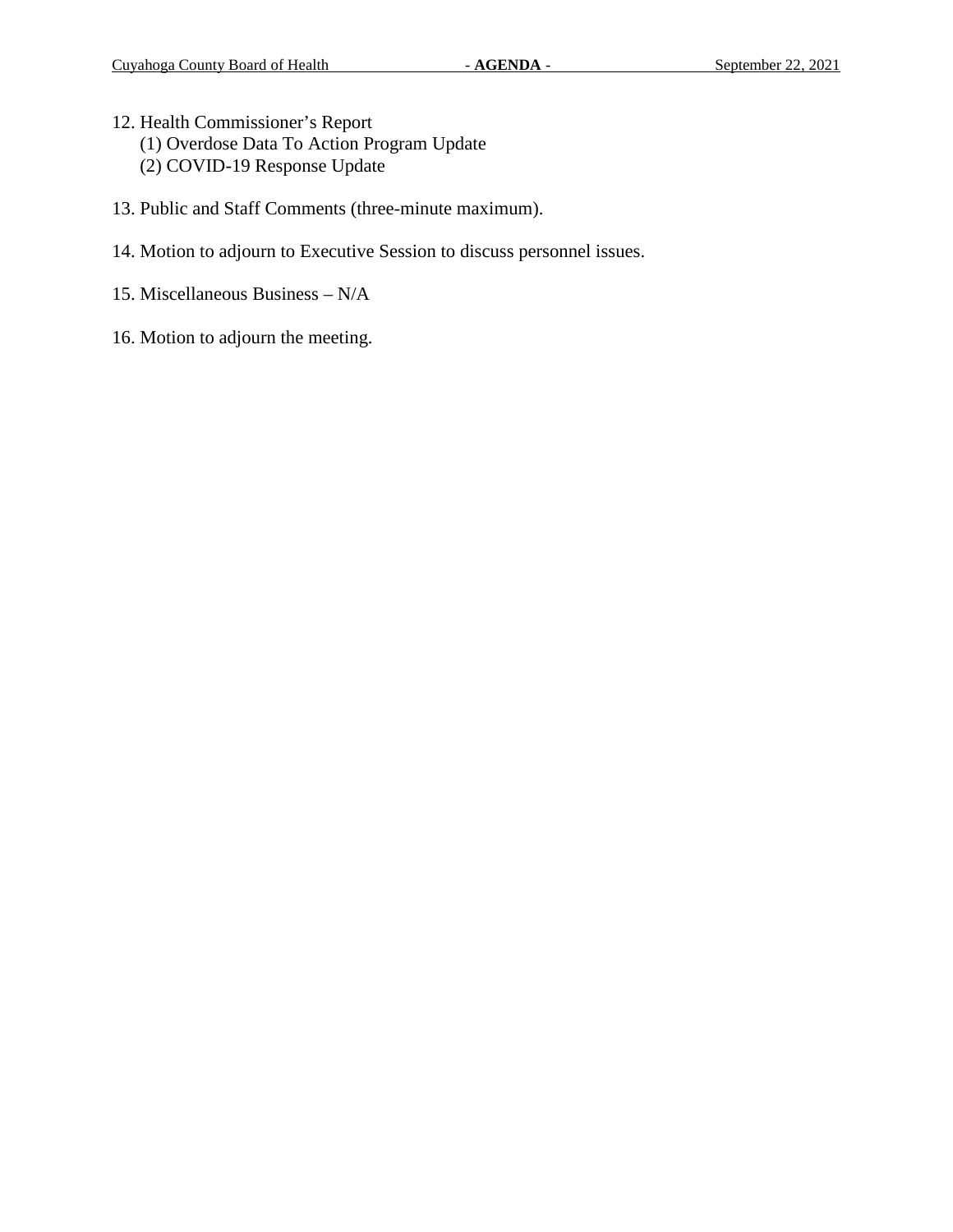- 12. Health Commissioner's Report (1) Overdose Data To Action Program Update (2) COVID-19 Response Update
- 13. Public and Staff Comments (three-minute maximum).
- 14. Motion to adjourn to Executive Session to discuss personnel issues.
- 15. Miscellaneous Business N/A
- 16. Motion to adjourn the meeting.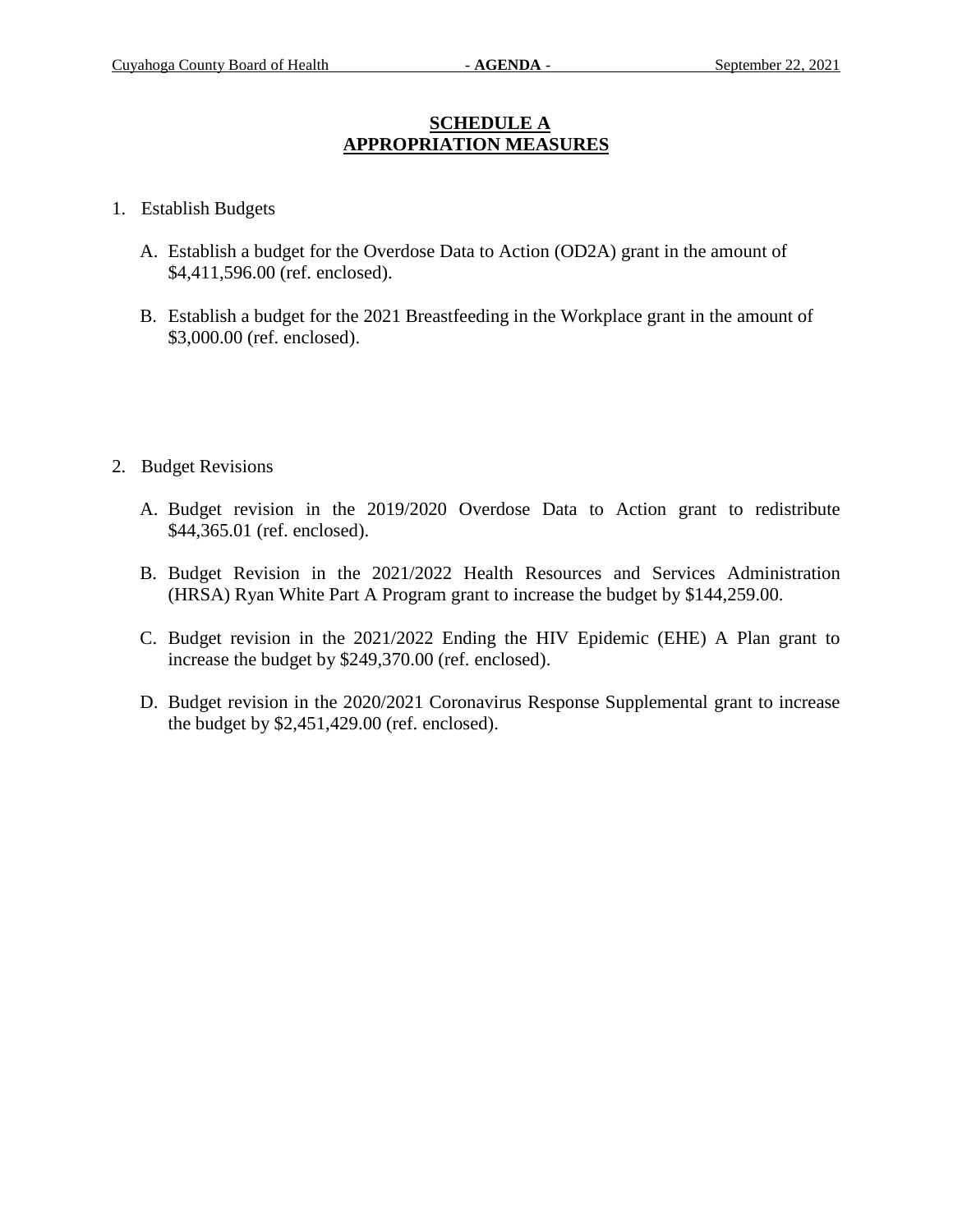### **SCHEDULE A APPROPRIATION MEASURES**

- 1. Establish Budgets
	- A. Establish a budget for the Overdose Data to Action (OD2A) grant in the amount of \$4,411,596.00 (ref. enclosed).
	- B. Establish a budget for the 2021 Breastfeeding in the Workplace grant in the amount of \$3,000.00 (ref. enclosed).
- 2. Budget Revisions
	- A. Budget revision in the 2019/2020 Overdose Data to Action grant to redistribute \$44,365.01 (ref. enclosed).
	- B. Budget Revision in the 2021/2022 Health Resources and Services Administration (HRSA) Ryan White Part A Program grant to increase the budget by \$144,259.00.
	- C. Budget revision in the 2021/2022 Ending the HIV Epidemic (EHE) A Plan grant to increase the budget by \$249,370.00 (ref. enclosed).
	- D. Budget revision in the 2020/2021 Coronavirus Response Supplemental grant to increase the budget by \$2,451,429.00 (ref. enclosed).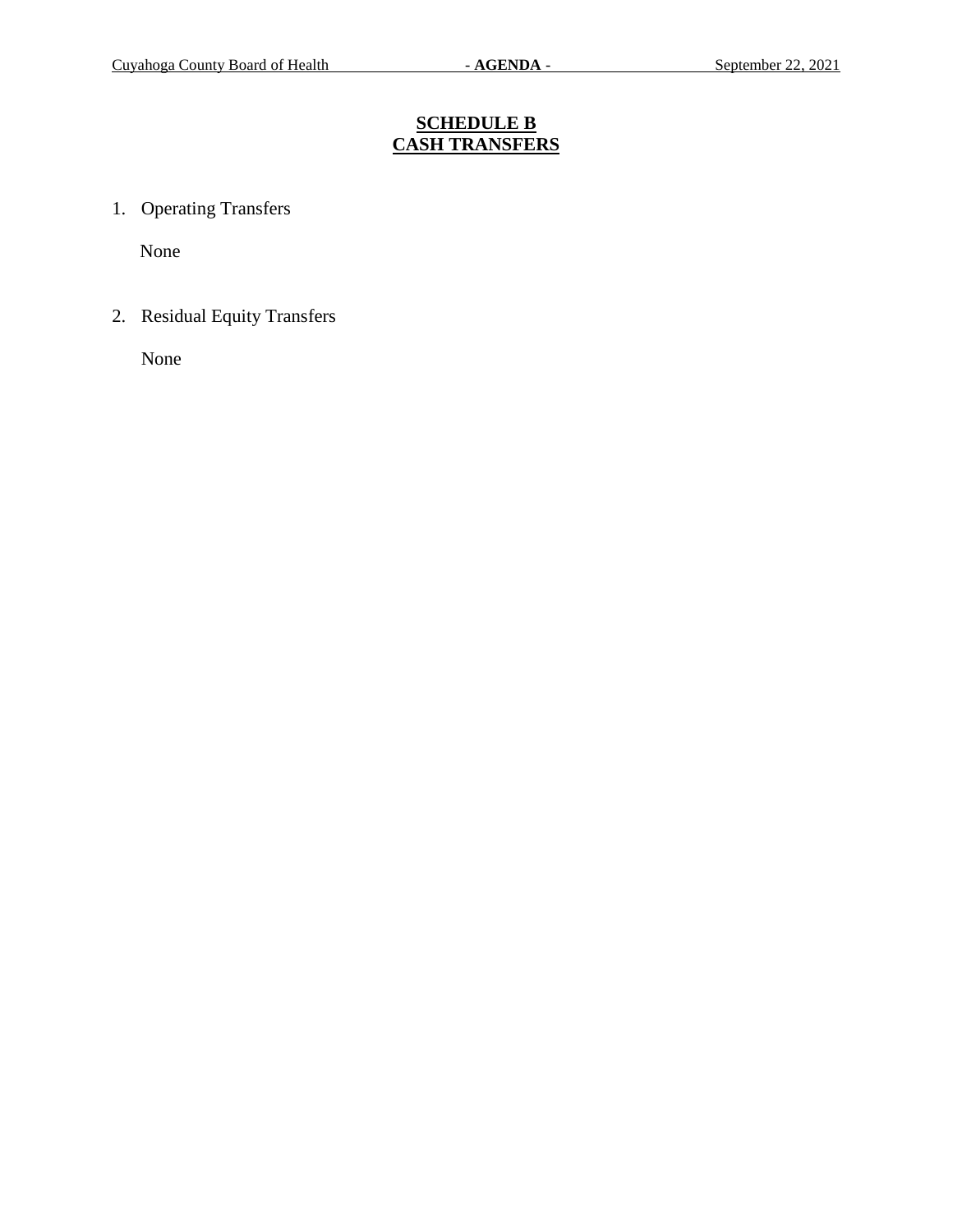# **SCHEDULE B CASH TRANSFERS**

1. Operating Transfers

None

2. Residual Equity Transfers

None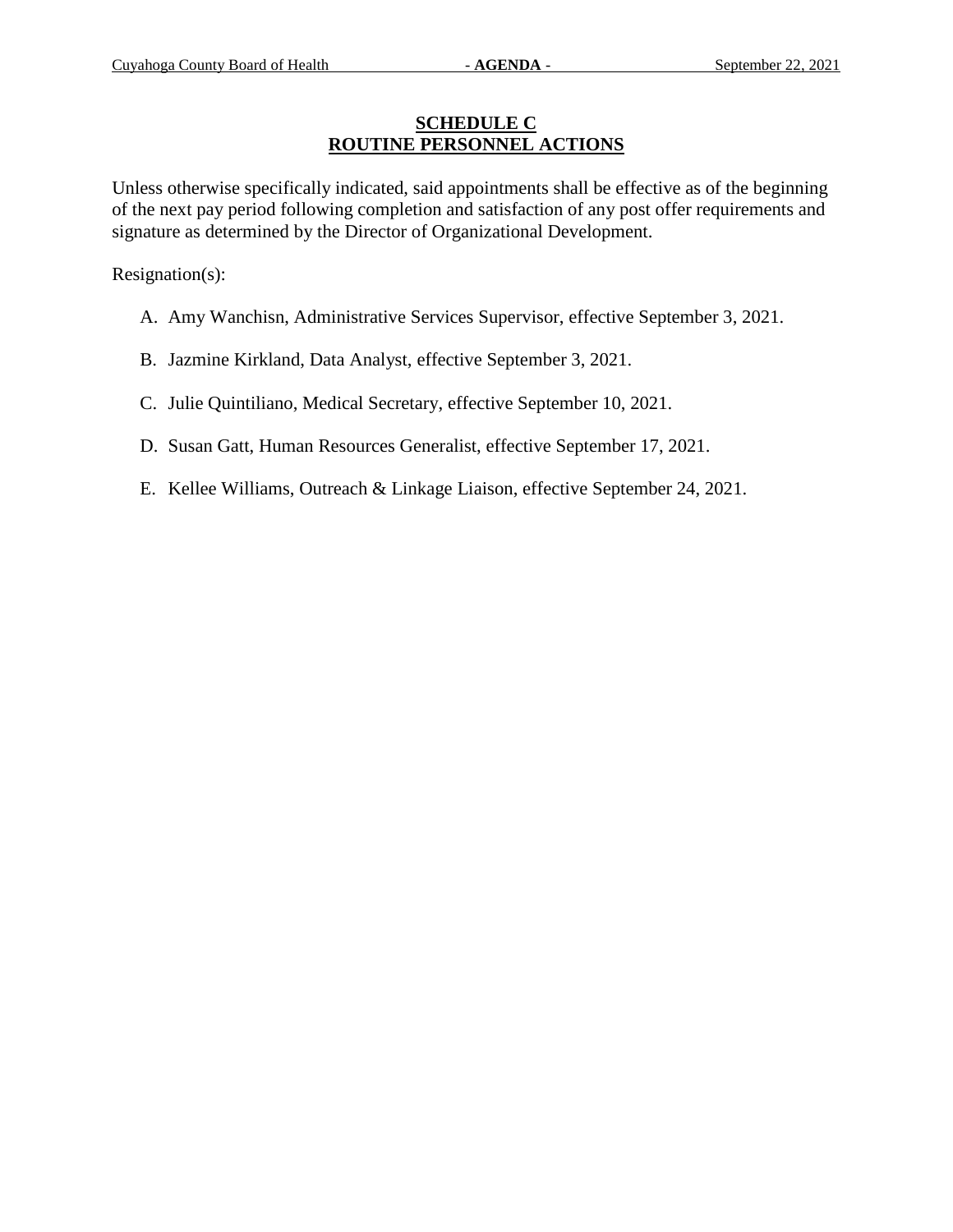### **SCHEDULE C ROUTINE PERSONNEL ACTIONS**

Unless otherwise specifically indicated, said appointments shall be effective as of the beginning of the next pay period following completion and satisfaction of any post offer requirements and signature as determined by the Director of Organizational Development.

Resignation(s):

- A. Amy Wanchisn, Administrative Services Supervisor, effective September 3, 2021.
- B. Jazmine Kirkland, Data Analyst, effective September 3, 2021.
- C. Julie Quintiliano, Medical Secretary, effective September 10, 2021.
- D. Susan Gatt, Human Resources Generalist, effective September 17, 2021.
- E. Kellee Williams, Outreach & Linkage Liaison, effective September 24, 2021.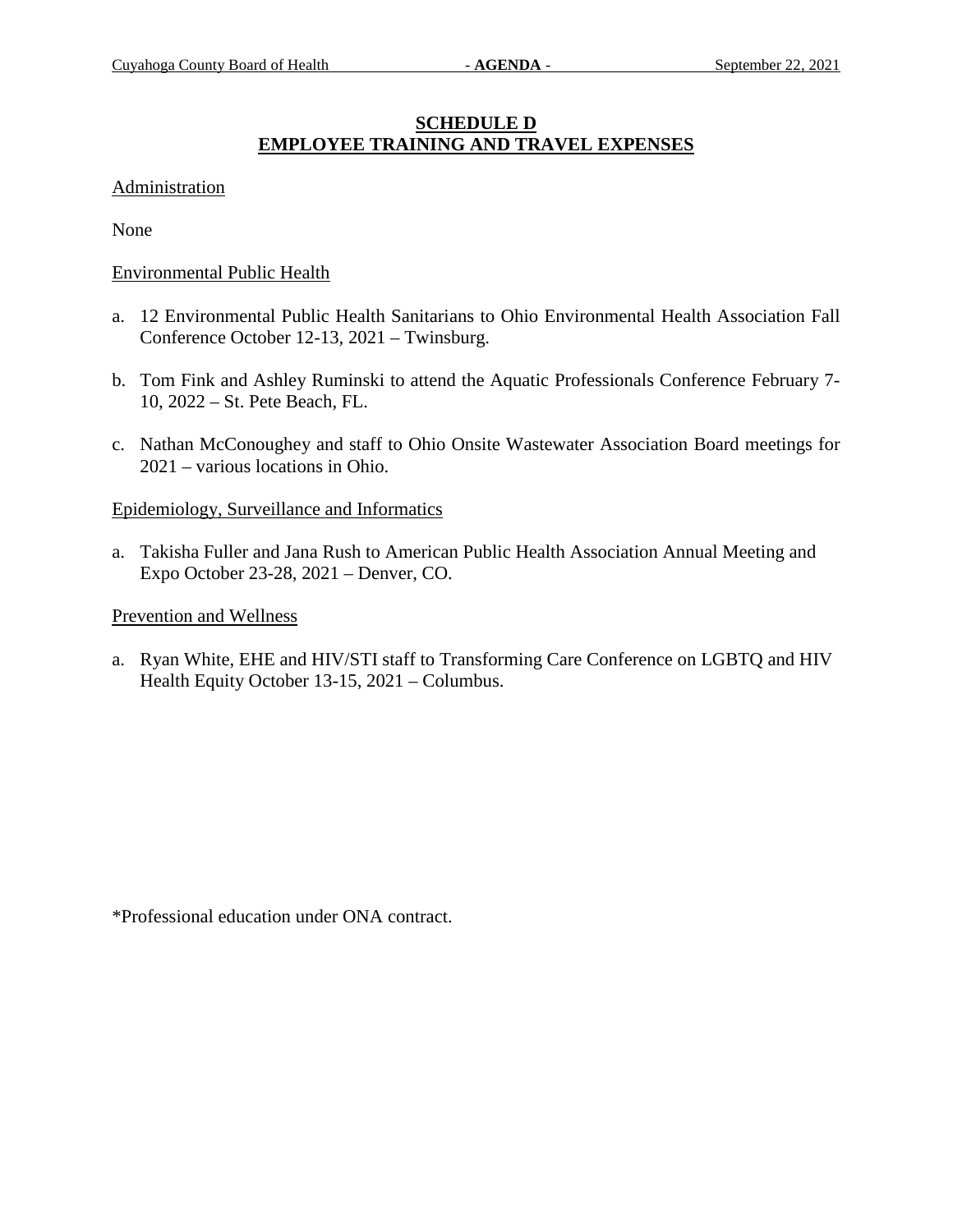## **SCHEDULE D EMPLOYEE TRAINING AND TRAVEL EXPENSES**

#### Administration

None

#### Environmental Public Health

- a. 12 Environmental Public Health Sanitarians to Ohio Environmental Health Association Fall Conference October 12-13, 2021 – Twinsburg.
- b. Tom Fink and Ashley Ruminski to attend the Aquatic Professionals Conference February 7- 10, 2022 – St. Pete Beach, FL.
- c. Nathan McConoughey and staff to Ohio Onsite Wastewater Association Board meetings for 2021 – various locations in Ohio.

### Epidemiology, Surveillance and Informatics

a. Takisha Fuller and Jana Rush to American Public Health Association Annual Meeting and Expo October 23-28, 2021 – Denver, CO.

#### Prevention and Wellness

a. Ryan White, EHE and HIV/STI staff to Transforming Care Conference on LGBTQ and HIV Health Equity October 13-15, 2021 – Columbus.

\*Professional education under ONA contract.